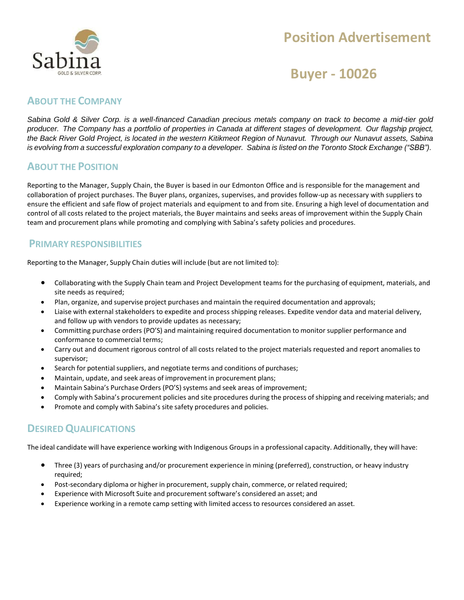

# **Position Advertisement**

## **Buyer - 10026**

### **ABOUT THE COMPANY**

*Sabina Gold & Silver Corp. is a well-financed Canadian precious metals company on track to become a mid-tier gold producer. The Company has a portfolio of properties in Canada at different stages of development. Our flagship project,*  the Back River Gold Project, is located in the western Kitikmeot Region of Nunavut. Through our Nunavut assets, Sabina is evolving from a successful exploration company to a developer. Sabina is listed on the Toronto Stock Exchange ("SBB").

#### **ABOUT THE POSITION**

Reporting to the Manager, Supply Chain, the Buyer is based in our Edmonton Office and is responsible for the management and collaboration of project purchases. The Buyer plans, organizes, supervises, and provides follow-up as necessary with suppliers to ensure the efficient and safe flow of project materials and equipment to and from site. Ensuring a high level of documentation and control of all costs related to the project materials, the Buyer maintains and seeks areas of improvement within the Supply Chain team and procurement plans while promoting and complying with Sabina's safety policies and procedures.

### **PRIMARY RESPONSIBILITIES**

Reporting to the Manager, Supply Chain duties will include (but are not limited to):

- Collaborating with the Supply Chain team and Project Development teams for the purchasing of equipment, materials, and site needs as required;
- Plan, organize, and supervise project purchases and maintain the required documentation and approvals;
- Liaise with external stakeholders to expedite and process shipping releases. Expedite vendor data and material delivery, and follow up with vendors to provide updates as necessary;
- Committing purchase orders (PO'S) and maintaining required documentation to monitor supplier performance and conformance to commercial terms;
- Carry out and document rigorous control of all costs related to the project materials requested and report anomalies to supervisor;
- Search for potential suppliers, and negotiate terms and conditions of purchases;
- Maintain, update, and seek areas of improvement in procurement plans;
- Maintain Sabina's Purchase Orders (PO'S) systems and seek areas of improvement;
- Comply with Sabina's procurement policies and site procedures during the process ofshipping and receiving materials; and
- Promote and comply with Sabina's site safety procedures and policies.

## **DESIREDQUALIFICATIONS**

The ideal candidate will have experience working with Indigenous Groups in a professional capacity. Additionally, they will have:

- Three (3) years of purchasing and/or procurement experience in mining (preferred), construction, or heavy industry required;
- Post-secondary diploma or higher in procurement, supply chain, commerce, or related required;
- Experience with Microsoft Suite and procurement software's considered an asset; and
- Experience working in a remote camp setting with limited access to resources considered an asset.